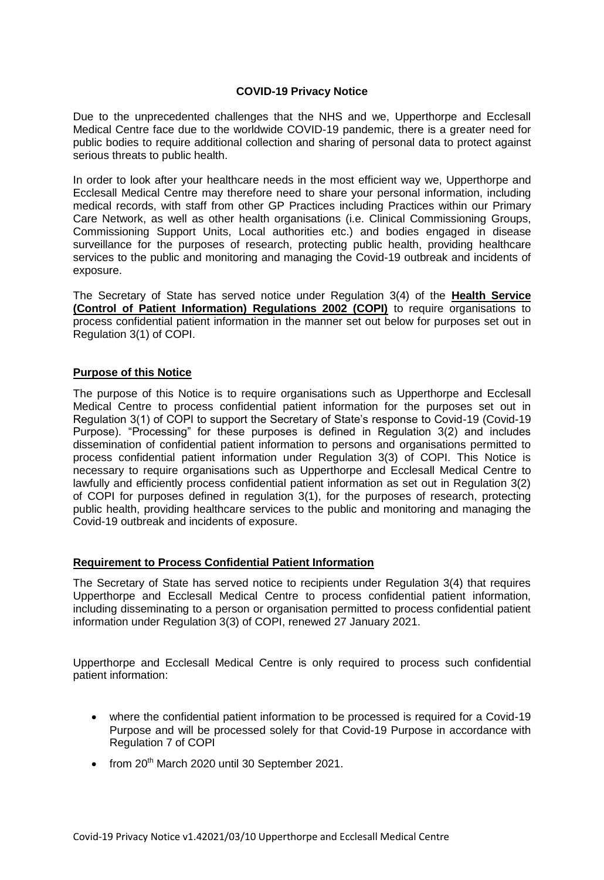## **COVID-19 Privacy Notice**

Due to the unprecedented challenges that the NHS and we, Upperthorpe and Ecclesall Medical Centre face due to the worldwide COVID-19 pandemic, there is a greater need for public bodies to require additional collection and sharing of personal data to protect against serious threats to public health.

In order to look after your healthcare needs in the most efficient way we, Upperthorpe and Ecclesall Medical Centre may therefore need to share your personal information, including medical records, with staff from other GP Practices including Practices within our Primary Care Network, as well as other health organisations (i.e. Clinical Commissioning Groups, Commissioning Support Units, Local authorities etc.) and bodies engaged in disease surveillance for the purposes of research, protecting public health, providing healthcare services to the public and monitoring and managing the Covid-19 outbreak and incidents of exposure.

The Secretary of State has served notice under Regulation 3(4) of the **Health Service (Control of Patient Information) Regulations 2002 (COPI)** to require organisations to process confidential patient information in the manner set out below for purposes set out in Regulation 3(1) of COPI.

## **Purpose of this Notice**

The purpose of this Notice is to require organisations such as Upperthorpe and Ecclesall Medical Centre to process confidential patient information for the purposes set out in Regulation 3(1) of COPI to support the Secretary of State's response to Covid-19 (Covid-19 Purpose). "Processing" for these purposes is defined in Regulation 3(2) and includes dissemination of confidential patient information to persons and organisations permitted to process confidential patient information under Regulation 3(3) of COPI. This Notice is necessary to require organisations such as Upperthorpe and Ecclesall Medical Centre to lawfully and efficiently process confidential patient information as set out in Regulation 3(2) of COPI for purposes defined in regulation 3(1), for the purposes of research, protecting public health, providing healthcare services to the public and monitoring and managing the Covid-19 outbreak and incidents of exposure.

## **Requirement to Process Confidential Patient Information**

The Secretary of State has served notice to recipients under Regulation 3(4) that requires Upperthorpe and Ecclesall Medical Centre to process confidential patient information, including disseminating to a person or organisation permitted to process confidential patient information under Regulation 3(3) of COPI, renewed 27 January 2021.

Upperthorpe and Ecclesall Medical Centre is only required to process such confidential patient information:

- where the confidential patient information to be processed is required for a Covid-19 Purpose and will be processed solely for that Covid-19 Purpose in accordance with Regulation 7 of COPI
- $\bullet$  from 20<sup>th</sup> March 2020 until 30 September 2021.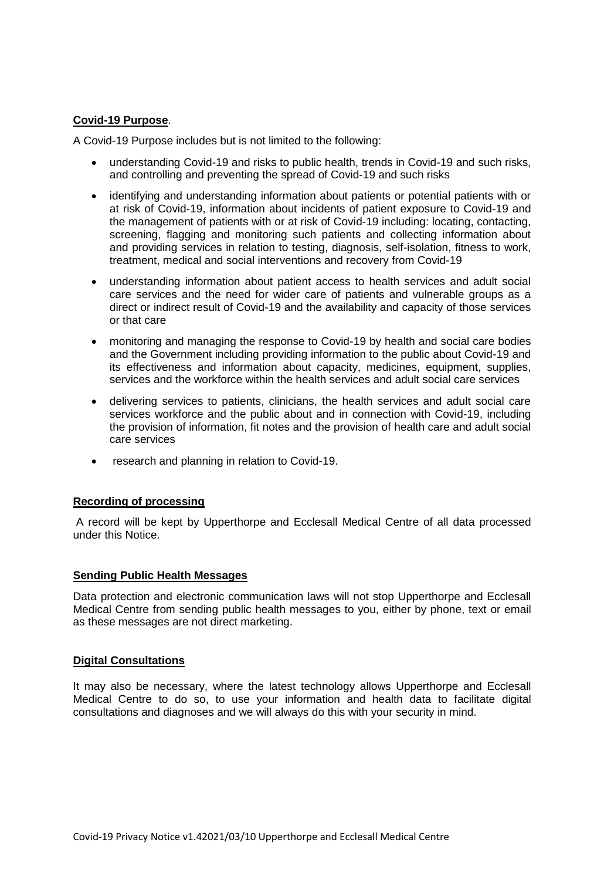## **Covid-19 Purpose**.

A Covid-19 Purpose includes but is not limited to the following:

- understanding Covid-19 and risks to public health, trends in Covid-19 and such risks, and controlling and preventing the spread of Covid-19 and such risks
- identifying and understanding information about patients or potential patients with or at risk of Covid-19, information about incidents of patient exposure to Covid-19 and the management of patients with or at risk of Covid-19 including: locating, contacting, screening, flagging and monitoring such patients and collecting information about and providing services in relation to testing, diagnosis, self-isolation, fitness to work, treatment, medical and social interventions and recovery from Covid-19
- understanding information about patient access to health services and adult social care services and the need for wider care of patients and vulnerable groups as a direct or indirect result of Covid-19 and the availability and capacity of those services or that care
- monitoring and managing the response to Covid-19 by health and social care bodies and the Government including providing information to the public about Covid-19 and its effectiveness and information about capacity, medicines, equipment, supplies, services and the workforce within the health services and adult social care services
- delivering services to patients, clinicians, the health services and adult social care services workforce and the public about and in connection with Covid-19, including the provision of information, fit notes and the provision of health care and adult social care services
- research and planning in relation to Covid-19.

## **Recording of processing**

A record will be kept by Upperthorpe and Ecclesall Medical Centre of all data processed under this Notice.

## **Sending Public Health Messages**

Data protection and electronic communication laws will not stop Upperthorpe and Ecclesall Medical Centre from sending public health messages to you, either by phone, text or email as these messages are not direct marketing.

## **Digital Consultations**

It may also be necessary, where the latest technology allows Upperthorpe and Ecclesall Medical Centre to do so, to use your information and health data to facilitate digital consultations and diagnoses and we will always do this with your security in mind.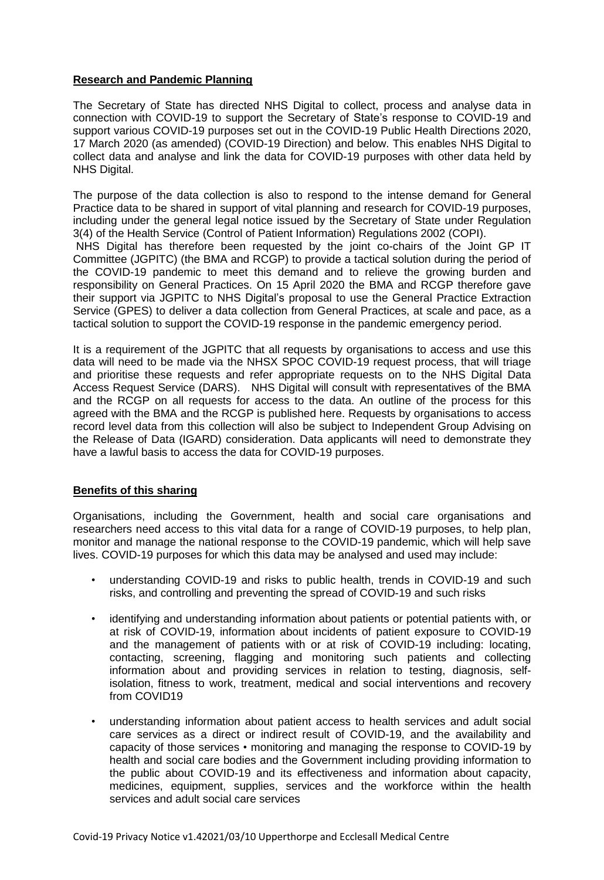# **Research and Pandemic Planning**

The Secretary of State has directed NHS Digital to collect, process and analyse data in connection with COVID-19 to support the Secretary of State's response to COVID-19 and support various COVID-19 purposes set out in the COVID-19 Public Health Directions 2020, 17 March 2020 (as amended) (COVID-19 Direction) and below. This enables NHS Digital to collect data and analyse and link the data for COVID-19 purposes with other data held by NHS Digital.

The purpose of the data collection is also to respond to the intense demand for General Practice data to be shared in support of vital planning and research for COVID-19 purposes, including under the general legal notice issued by the Secretary of State under Regulation 3(4) of the Health Service (Control of Patient Information) Regulations 2002 (COPI). NHS Digital has therefore been requested by the joint co-chairs of the Joint GP IT

Committee (JGPITC) (the BMA and RCGP) to provide a tactical solution during the period of the COVID-19 pandemic to meet this demand and to relieve the growing burden and responsibility on General Practices. On 15 April 2020 the BMA and RCGP therefore gave their support via JGPITC to NHS Digital's proposal to use the General Practice Extraction Service (GPES) to deliver a data collection from General Practices, at scale and pace, as a tactical solution to support the COVID-19 response in the pandemic emergency period.

It is a requirement of the JGPITC that all requests by organisations to access and use this data will need to be made via the NHSX SPOC COVID-19 request process, that will triage and prioritise these requests and refer appropriate requests on to the NHS Digital Data Access Request Service (DARS). NHS Digital will consult with representatives of the BMA and the RCGP on all requests for access to the data. An outline of the process for this agreed with the BMA and the RCGP is published here. Requests by organisations to access record level data from this collection will also be subject to Independent Group Advising on the Release of Data (IGARD) consideration. Data applicants will need to demonstrate they have a lawful basis to access the data for COVID-19 purposes.

## **Benefits of this sharing**

Organisations, including the Government, health and social care organisations and researchers need access to this vital data for a range of COVID-19 purposes, to help plan, monitor and manage the national response to the COVID-19 pandemic, which will help save lives. COVID-19 purposes for which this data may be analysed and used may include:

- understanding COVID-19 and risks to public health, trends in COVID-19 and such risks, and controlling and preventing the spread of COVID-19 and such risks
- identifying and understanding information about patients or potential patients with, or at risk of COVID-19, information about incidents of patient exposure to COVID-19 and the management of patients with or at risk of COVID-19 including: locating, contacting, screening, flagging and monitoring such patients and collecting information about and providing services in relation to testing, diagnosis, selfisolation, fitness to work, treatment, medical and social interventions and recovery from COVID19
- understanding information about patient access to health services and adult social care services as a direct or indirect result of COVID-19, and the availability and capacity of those services • monitoring and managing the response to COVID-19 by health and social care bodies and the Government including providing information to the public about COVID-19 and its effectiveness and information about capacity, medicines, equipment, supplies, services and the workforce within the health services and adult social care services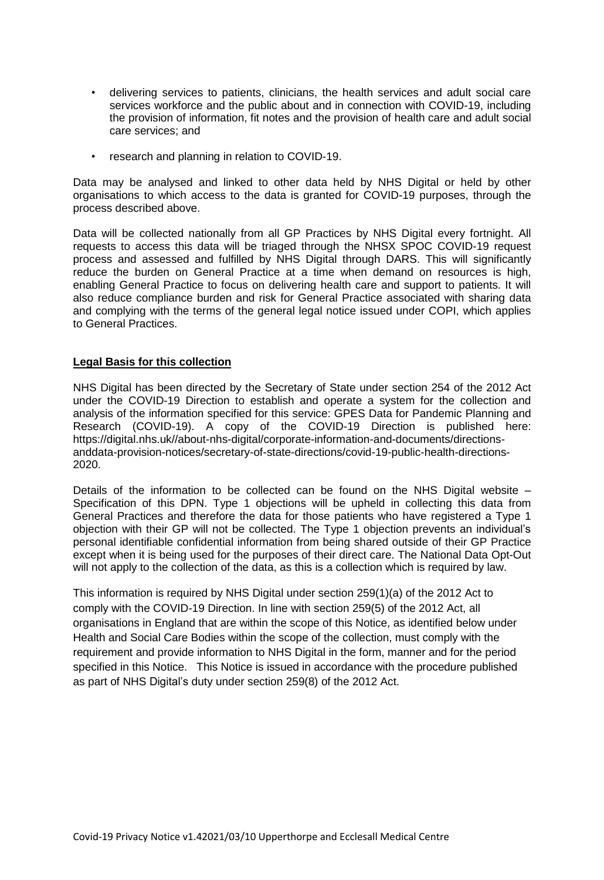- delivering services to patients, clinicians, the health services and adult social care services workforce and the public about and in connection with COVID-19, including the provision of information, fit notes and the provision of health care and adult social care services; and
- research and planning in relation to COVID-19.

Data may be analysed and linked to other data held by NHS Digital or held by other organisations to which access to the data is granted for COVID-19 purposes, through the process described above.

Data will be collected nationally from all GP Practices by NHS Digital every fortnight. All requests to access this data will be triaged through the NHSX SPOC COVID-19 request process and assessed and fulfilled by NHS Digital through DARS. This will significantly reduce the burden on General Practice at a time when demand on resources is high, enabling General Practice to focus on delivering health care and support to patients. It will also reduce compliance burden and risk for General Practice associated with sharing data and complying with the terms of the general legal notice issued under COPI, which applies to General Practices.

## **Legal Basis for this collection**

NHS Digital has been directed by the Secretary of State under section 254 of the 2012 Act under the COVID-19 Direction to establish and operate a system for the collection and analysis of the information specified for this service: GPES Data for Pandemic Planning and Research (COVID-19). A copy of the COVID-19 Direction is published here: https://digital.nhs.uk//about-nhs-digital/corporate-information-and-documents/directionsanddata-provision-notices/secretary-of-state-directions/covid-19-public-health-directions-2020.

Details of the information to be collected can be found on the NHS Digital website – Specification of this DPN. Type 1 objections will be upheld in collecting this data from General Practices and therefore the data for those patients who have registered a Type 1 objection with their GP will not be collected. The Type 1 objection prevents an individual's personal identifiable confidential information from being shared outside of their GP Practice except when it is being used for the purposes of their direct care. The National Data Opt-Out will not apply to the collection of the data, as this is a collection which is required by law.

This information is required by NHS Digital under section 259(1)(a) of the 2012 Act to comply with the COVID-19 Direction. In line with section 259(5) of the 2012 Act, all organisations in England that are within the scope of this Notice, as identified below under Health and Social Care Bodies within the scope of the collection, must comply with the requirement and provide information to NHS Digital in the form, manner and for the period specified in this Notice. This Notice is issued in accordance with the procedure published as part of NHS Digital's duty under section 259(8) of the 2012 Act.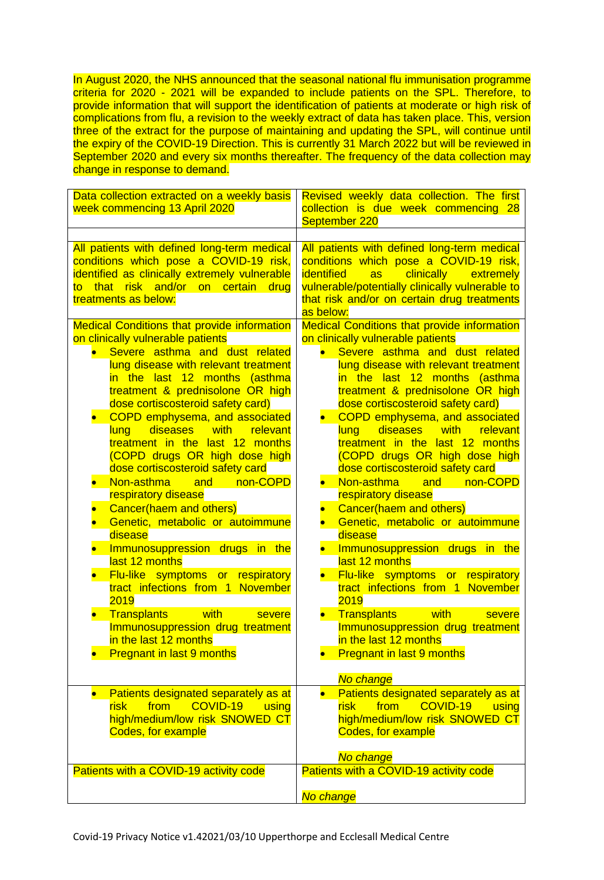In August 2020, the NHS announced that the seasonal national flu immunisation programme criteria for 2020 - 2021 will be expanded to include patients on the SPL. Therefore, to provide information that will support the identification of patients at moderate or high risk of complications from flu, a revision to the weekly extract of data has taken place. This, version three of the extract for the purpose of maintaining and updating the SPL, will continue until the expiry of the COVID-19 Direction. This is currently 31 March 2022 but will be reviewed in September 2020 and every six months thereafter. The frequency of the data collection may change in response to demand.

| Data collection extracted on a weekly basis<br>week commencing 13 April 2020                                                                                                                                                                                                                                                                                                                                                                                                                                                                                                                                                                                                                                                                                                                                                                                                                                                                                                                                                                    | Revised weekly data collection. The first<br>collection is due week commencing 28<br>September 220                                                                                                                                                                                                                                                                                                                                                                                                                                                                                                                                                                                                                                                                                                                                                                                                                                                                                                                                                |
|-------------------------------------------------------------------------------------------------------------------------------------------------------------------------------------------------------------------------------------------------------------------------------------------------------------------------------------------------------------------------------------------------------------------------------------------------------------------------------------------------------------------------------------------------------------------------------------------------------------------------------------------------------------------------------------------------------------------------------------------------------------------------------------------------------------------------------------------------------------------------------------------------------------------------------------------------------------------------------------------------------------------------------------------------|---------------------------------------------------------------------------------------------------------------------------------------------------------------------------------------------------------------------------------------------------------------------------------------------------------------------------------------------------------------------------------------------------------------------------------------------------------------------------------------------------------------------------------------------------------------------------------------------------------------------------------------------------------------------------------------------------------------------------------------------------------------------------------------------------------------------------------------------------------------------------------------------------------------------------------------------------------------------------------------------------------------------------------------------------|
| All patients with defined long-term medical<br>conditions which pose a COVID-19 risk,<br>identified as clinically extremely vulnerable<br>that risk and/or on certain<br>drug<br>to<br>treatments as below:                                                                                                                                                                                                                                                                                                                                                                                                                                                                                                                                                                                                                                                                                                                                                                                                                                     | All patients with defined long-term medical<br>conditions which pose a COVID-19 risk,<br><b>clinically</b><br><i><b>identified</b></i><br><b>as</b><br>extremely<br>vulnerable/potentially clinically vulnerable to<br>that risk and/or on certain drug treatments<br>as below:                                                                                                                                                                                                                                                                                                                                                                                                                                                                                                                                                                                                                                                                                                                                                                   |
| <b>Medical Conditions that provide information</b><br>on clinically vulnerable patients<br>Severe asthma and dust related<br>lung disease with relevant treatment<br>in the last 12 months<br>(asthma<br>treatment & prednisolone OR high<br>dose cortiscosteroid safety card)<br>COPD emphysema, and associated<br>lung diseases<br><u>___with __</u><br>relevant<br>treatment in the last 12 months<br>(COPD drugs OR high dose high<br>dose cortiscosteroid safety card<br>Non-asthma<br>and<br>non-COPD<br>respiratory disease<br>Cancer(haem and others)<br>Genetic, metabolic or autoimmune<br>disease<br>Immunosuppression drugs in the<br>last 12 months<br>Flu-like symptoms or respiratory<br>tract infections from 1 November<br>2019<br><b>The South With</b><br><b>Transplants</b><br>severe<br>Immunosuppression drug treatment<br>in the last 12 months<br><b>Pregnant in last 9 months</b><br>Patients designated separately as at<br>COVID-19<br>from<br>risk<br>using<br>high/medium/low risk SNOWED CT<br>Codes, for example | <b>Medical Conditions that provide information</b><br>on clinically vulnerable patients<br>Severe asthma and dust related<br>lung disease with relevant treatment<br>in the last 12 months<br>(asthma<br>treatment & prednisolone OR high<br>dose cortiscosteroid safety card)<br>COPD emphysema, and associated<br>lung diseases<br>with <b>with</b><br>relevant<br>treatment in the last 12 months<br>(COPD drugs OR high dose high<br>dose cortiscosteroid safety card<br>Non-asthma<br>and non-COPD<br>$\bullet$<br>respiratory disease<br>Cancer(haem and others)<br>Genetic, metabolic or autoimmune<br>disease<br>Immunosuppression drugs in the<br>last 12 months<br>Flu-like symptoms or respiratory<br>tract infections from 1 November<br>2019<br><b>Transplants</b> with<br>severe<br>Immunosuppression drug treatment<br>in the last 12 months<br><b>Pregnant in last 9 months</b><br>No change<br>Patients designated separately as at<br>COVID-19<br>risk<br>from<br>using<br>high/medium/low risk SNOWED CT<br>Codes, for example |
| Patients with a COVID-19 activity code                                                                                                                                                                                                                                                                                                                                                                                                                                                                                                                                                                                                                                                                                                                                                                                                                                                                                                                                                                                                          | No change<br>Patients with a COVID-19 activity code<br>No change                                                                                                                                                                                                                                                                                                                                                                                                                                                                                                                                                                                                                                                                                                                                                                                                                                                                                                                                                                                  |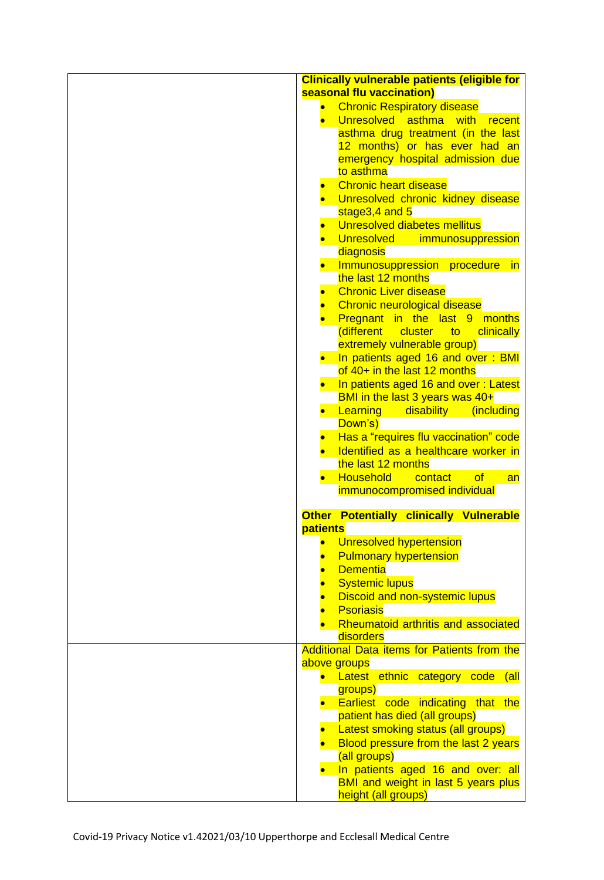| seasonal flu vaccination)<br><b>Chronic Respiratory disease</b><br>Unresolved<br>asthma<br>with<br>recent<br>asthma drug treatment (in the last<br>12 months) or has ever had an<br>emergency hospital admission due<br>to asthma<br><b>Chronic heart disease</b><br>Unresolved chronic kidney disease<br>stage3,4 and 5<br>Unresolved diabetes mellitus<br><b>Unresolved</b><br>immunosuppression<br>diagnosis<br>Immunosuppression procedure<br><u>in</u><br>the last 12 months<br><b>Chronic Liver disease</b><br>Chronic neurological disease<br>Pregnant in the last 9 months<br>different cluster<br><u>to</u><br>clinically<br>extremely vulnerable group)<br>In patients aged 16 and over: BMI<br>of $40+$ in the last 12 months<br>In patients aged 16 and over: Latest<br>BMI in the last 3 years was 40+<br><b>Learning</b> disability (including<br>Down's)<br>Has a "requires flu vaccination" code<br>Identified as a healthcare worker in<br>the last 12 months<br><b>Household</b><br>of<br><b>Contact</b><br>an<br>immunocompromised individual<br><b>Other Potentially clinically Vulnerable</b><br><b>patients</b><br>Unresolved hypertension<br><b>Pulmonary hypertension</b><br><b>Dementia</b><br><b>Systemic lupus</b><br><b>Discoid and non-systemic lupus</b><br><b>Psoriasis</b><br>Rheumatoid arthritis and associated<br>disorders<br>Additional Data items for Patients from the<br>above groups<br>• Latest ethnic category code (all<br>groups)<br>• Earliest code indicating that the<br>patient has died (all groups)<br>Latest smoking status (all groups)<br>Blood pressure from the last 2 years<br>(all groups)<br>In patients aged 16 and over: all<br>BMI and weight in last 5 years plus<br>height (all groups) | <b>Clinically vulnerable patients (eligible for</b> |
|---------------------------------------------------------------------------------------------------------------------------------------------------------------------------------------------------------------------------------------------------------------------------------------------------------------------------------------------------------------------------------------------------------------------------------------------------------------------------------------------------------------------------------------------------------------------------------------------------------------------------------------------------------------------------------------------------------------------------------------------------------------------------------------------------------------------------------------------------------------------------------------------------------------------------------------------------------------------------------------------------------------------------------------------------------------------------------------------------------------------------------------------------------------------------------------------------------------------------------------------------------------------------------------------------------------------------------------------------------------------------------------------------------------------------------------------------------------------------------------------------------------------------------------------------------------------------------------------------------------------------------------------------------------------------------------------------------------------------------------------------------|-----------------------------------------------------|
|                                                                                                                                                                                                                                                                                                                                                                                                                                                                                                                                                                                                                                                                                                                                                                                                                                                                                                                                                                                                                                                                                                                                                                                                                                                                                                                                                                                                                                                                                                                                                                                                                                                                                                                                                         |                                                     |
|                                                                                                                                                                                                                                                                                                                                                                                                                                                                                                                                                                                                                                                                                                                                                                                                                                                                                                                                                                                                                                                                                                                                                                                                                                                                                                                                                                                                                                                                                                                                                                                                                                                                                                                                                         |                                                     |
|                                                                                                                                                                                                                                                                                                                                                                                                                                                                                                                                                                                                                                                                                                                                                                                                                                                                                                                                                                                                                                                                                                                                                                                                                                                                                                                                                                                                                                                                                                                                                                                                                                                                                                                                                         |                                                     |
|                                                                                                                                                                                                                                                                                                                                                                                                                                                                                                                                                                                                                                                                                                                                                                                                                                                                                                                                                                                                                                                                                                                                                                                                                                                                                                                                                                                                                                                                                                                                                                                                                                                                                                                                                         |                                                     |
|                                                                                                                                                                                                                                                                                                                                                                                                                                                                                                                                                                                                                                                                                                                                                                                                                                                                                                                                                                                                                                                                                                                                                                                                                                                                                                                                                                                                                                                                                                                                                                                                                                                                                                                                                         |                                                     |
|                                                                                                                                                                                                                                                                                                                                                                                                                                                                                                                                                                                                                                                                                                                                                                                                                                                                                                                                                                                                                                                                                                                                                                                                                                                                                                                                                                                                                                                                                                                                                                                                                                                                                                                                                         |                                                     |
|                                                                                                                                                                                                                                                                                                                                                                                                                                                                                                                                                                                                                                                                                                                                                                                                                                                                                                                                                                                                                                                                                                                                                                                                                                                                                                                                                                                                                                                                                                                                                                                                                                                                                                                                                         |                                                     |
|                                                                                                                                                                                                                                                                                                                                                                                                                                                                                                                                                                                                                                                                                                                                                                                                                                                                                                                                                                                                                                                                                                                                                                                                                                                                                                                                                                                                                                                                                                                                                                                                                                                                                                                                                         |                                                     |
|                                                                                                                                                                                                                                                                                                                                                                                                                                                                                                                                                                                                                                                                                                                                                                                                                                                                                                                                                                                                                                                                                                                                                                                                                                                                                                                                                                                                                                                                                                                                                                                                                                                                                                                                                         |                                                     |
|                                                                                                                                                                                                                                                                                                                                                                                                                                                                                                                                                                                                                                                                                                                                                                                                                                                                                                                                                                                                                                                                                                                                                                                                                                                                                                                                                                                                                                                                                                                                                                                                                                                                                                                                                         |                                                     |
|                                                                                                                                                                                                                                                                                                                                                                                                                                                                                                                                                                                                                                                                                                                                                                                                                                                                                                                                                                                                                                                                                                                                                                                                                                                                                                                                                                                                                                                                                                                                                                                                                                                                                                                                                         |                                                     |
|                                                                                                                                                                                                                                                                                                                                                                                                                                                                                                                                                                                                                                                                                                                                                                                                                                                                                                                                                                                                                                                                                                                                                                                                                                                                                                                                                                                                                                                                                                                                                                                                                                                                                                                                                         |                                                     |
|                                                                                                                                                                                                                                                                                                                                                                                                                                                                                                                                                                                                                                                                                                                                                                                                                                                                                                                                                                                                                                                                                                                                                                                                                                                                                                                                                                                                                                                                                                                                                                                                                                                                                                                                                         |                                                     |
|                                                                                                                                                                                                                                                                                                                                                                                                                                                                                                                                                                                                                                                                                                                                                                                                                                                                                                                                                                                                                                                                                                                                                                                                                                                                                                                                                                                                                                                                                                                                                                                                                                                                                                                                                         |                                                     |
|                                                                                                                                                                                                                                                                                                                                                                                                                                                                                                                                                                                                                                                                                                                                                                                                                                                                                                                                                                                                                                                                                                                                                                                                                                                                                                                                                                                                                                                                                                                                                                                                                                                                                                                                                         |                                                     |
|                                                                                                                                                                                                                                                                                                                                                                                                                                                                                                                                                                                                                                                                                                                                                                                                                                                                                                                                                                                                                                                                                                                                                                                                                                                                                                                                                                                                                                                                                                                                                                                                                                                                                                                                                         |                                                     |
|                                                                                                                                                                                                                                                                                                                                                                                                                                                                                                                                                                                                                                                                                                                                                                                                                                                                                                                                                                                                                                                                                                                                                                                                                                                                                                                                                                                                                                                                                                                                                                                                                                                                                                                                                         |                                                     |
|                                                                                                                                                                                                                                                                                                                                                                                                                                                                                                                                                                                                                                                                                                                                                                                                                                                                                                                                                                                                                                                                                                                                                                                                                                                                                                                                                                                                                                                                                                                                                                                                                                                                                                                                                         |                                                     |
|                                                                                                                                                                                                                                                                                                                                                                                                                                                                                                                                                                                                                                                                                                                                                                                                                                                                                                                                                                                                                                                                                                                                                                                                                                                                                                                                                                                                                                                                                                                                                                                                                                                                                                                                                         |                                                     |
|                                                                                                                                                                                                                                                                                                                                                                                                                                                                                                                                                                                                                                                                                                                                                                                                                                                                                                                                                                                                                                                                                                                                                                                                                                                                                                                                                                                                                                                                                                                                                                                                                                                                                                                                                         |                                                     |
|                                                                                                                                                                                                                                                                                                                                                                                                                                                                                                                                                                                                                                                                                                                                                                                                                                                                                                                                                                                                                                                                                                                                                                                                                                                                                                                                                                                                                                                                                                                                                                                                                                                                                                                                                         |                                                     |
|                                                                                                                                                                                                                                                                                                                                                                                                                                                                                                                                                                                                                                                                                                                                                                                                                                                                                                                                                                                                                                                                                                                                                                                                                                                                                                                                                                                                                                                                                                                                                                                                                                                                                                                                                         |                                                     |
|                                                                                                                                                                                                                                                                                                                                                                                                                                                                                                                                                                                                                                                                                                                                                                                                                                                                                                                                                                                                                                                                                                                                                                                                                                                                                                                                                                                                                                                                                                                                                                                                                                                                                                                                                         |                                                     |
|                                                                                                                                                                                                                                                                                                                                                                                                                                                                                                                                                                                                                                                                                                                                                                                                                                                                                                                                                                                                                                                                                                                                                                                                                                                                                                                                                                                                                                                                                                                                                                                                                                                                                                                                                         |                                                     |
|                                                                                                                                                                                                                                                                                                                                                                                                                                                                                                                                                                                                                                                                                                                                                                                                                                                                                                                                                                                                                                                                                                                                                                                                                                                                                                                                                                                                                                                                                                                                                                                                                                                                                                                                                         |                                                     |
|                                                                                                                                                                                                                                                                                                                                                                                                                                                                                                                                                                                                                                                                                                                                                                                                                                                                                                                                                                                                                                                                                                                                                                                                                                                                                                                                                                                                                                                                                                                                                                                                                                                                                                                                                         |                                                     |
|                                                                                                                                                                                                                                                                                                                                                                                                                                                                                                                                                                                                                                                                                                                                                                                                                                                                                                                                                                                                                                                                                                                                                                                                                                                                                                                                                                                                                                                                                                                                                                                                                                                                                                                                                         |                                                     |
|                                                                                                                                                                                                                                                                                                                                                                                                                                                                                                                                                                                                                                                                                                                                                                                                                                                                                                                                                                                                                                                                                                                                                                                                                                                                                                                                                                                                                                                                                                                                                                                                                                                                                                                                                         |                                                     |
|                                                                                                                                                                                                                                                                                                                                                                                                                                                                                                                                                                                                                                                                                                                                                                                                                                                                                                                                                                                                                                                                                                                                                                                                                                                                                                                                                                                                                                                                                                                                                                                                                                                                                                                                                         |                                                     |
|                                                                                                                                                                                                                                                                                                                                                                                                                                                                                                                                                                                                                                                                                                                                                                                                                                                                                                                                                                                                                                                                                                                                                                                                                                                                                                                                                                                                                                                                                                                                                                                                                                                                                                                                                         |                                                     |
|                                                                                                                                                                                                                                                                                                                                                                                                                                                                                                                                                                                                                                                                                                                                                                                                                                                                                                                                                                                                                                                                                                                                                                                                                                                                                                                                                                                                                                                                                                                                                                                                                                                                                                                                                         |                                                     |
|                                                                                                                                                                                                                                                                                                                                                                                                                                                                                                                                                                                                                                                                                                                                                                                                                                                                                                                                                                                                                                                                                                                                                                                                                                                                                                                                                                                                                                                                                                                                                                                                                                                                                                                                                         |                                                     |
|                                                                                                                                                                                                                                                                                                                                                                                                                                                                                                                                                                                                                                                                                                                                                                                                                                                                                                                                                                                                                                                                                                                                                                                                                                                                                                                                                                                                                                                                                                                                                                                                                                                                                                                                                         |                                                     |
|                                                                                                                                                                                                                                                                                                                                                                                                                                                                                                                                                                                                                                                                                                                                                                                                                                                                                                                                                                                                                                                                                                                                                                                                                                                                                                                                                                                                                                                                                                                                                                                                                                                                                                                                                         |                                                     |
|                                                                                                                                                                                                                                                                                                                                                                                                                                                                                                                                                                                                                                                                                                                                                                                                                                                                                                                                                                                                                                                                                                                                                                                                                                                                                                                                                                                                                                                                                                                                                                                                                                                                                                                                                         |                                                     |
|                                                                                                                                                                                                                                                                                                                                                                                                                                                                                                                                                                                                                                                                                                                                                                                                                                                                                                                                                                                                                                                                                                                                                                                                                                                                                                                                                                                                                                                                                                                                                                                                                                                                                                                                                         |                                                     |
|                                                                                                                                                                                                                                                                                                                                                                                                                                                                                                                                                                                                                                                                                                                                                                                                                                                                                                                                                                                                                                                                                                                                                                                                                                                                                                                                                                                                                                                                                                                                                                                                                                                                                                                                                         |                                                     |
|                                                                                                                                                                                                                                                                                                                                                                                                                                                                                                                                                                                                                                                                                                                                                                                                                                                                                                                                                                                                                                                                                                                                                                                                                                                                                                                                                                                                                                                                                                                                                                                                                                                                                                                                                         |                                                     |
|                                                                                                                                                                                                                                                                                                                                                                                                                                                                                                                                                                                                                                                                                                                                                                                                                                                                                                                                                                                                                                                                                                                                                                                                                                                                                                                                                                                                                                                                                                                                                                                                                                                                                                                                                         |                                                     |
|                                                                                                                                                                                                                                                                                                                                                                                                                                                                                                                                                                                                                                                                                                                                                                                                                                                                                                                                                                                                                                                                                                                                                                                                                                                                                                                                                                                                                                                                                                                                                                                                                                                                                                                                                         |                                                     |
|                                                                                                                                                                                                                                                                                                                                                                                                                                                                                                                                                                                                                                                                                                                                                                                                                                                                                                                                                                                                                                                                                                                                                                                                                                                                                                                                                                                                                                                                                                                                                                                                                                                                                                                                                         |                                                     |
|                                                                                                                                                                                                                                                                                                                                                                                                                                                                                                                                                                                                                                                                                                                                                                                                                                                                                                                                                                                                                                                                                                                                                                                                                                                                                                                                                                                                                                                                                                                                                                                                                                                                                                                                                         |                                                     |
|                                                                                                                                                                                                                                                                                                                                                                                                                                                                                                                                                                                                                                                                                                                                                                                                                                                                                                                                                                                                                                                                                                                                                                                                                                                                                                                                                                                                                                                                                                                                                                                                                                                                                                                                                         |                                                     |
|                                                                                                                                                                                                                                                                                                                                                                                                                                                                                                                                                                                                                                                                                                                                                                                                                                                                                                                                                                                                                                                                                                                                                                                                                                                                                                                                                                                                                                                                                                                                                                                                                                                                                                                                                         |                                                     |
|                                                                                                                                                                                                                                                                                                                                                                                                                                                                                                                                                                                                                                                                                                                                                                                                                                                                                                                                                                                                                                                                                                                                                                                                                                                                                                                                                                                                                                                                                                                                                                                                                                                                                                                                                         |                                                     |
|                                                                                                                                                                                                                                                                                                                                                                                                                                                                                                                                                                                                                                                                                                                                                                                                                                                                                                                                                                                                                                                                                                                                                                                                                                                                                                                                                                                                                                                                                                                                                                                                                                                                                                                                                         |                                                     |
|                                                                                                                                                                                                                                                                                                                                                                                                                                                                                                                                                                                                                                                                                                                                                                                                                                                                                                                                                                                                                                                                                                                                                                                                                                                                                                                                                                                                                                                                                                                                                                                                                                                                                                                                                         |                                                     |
|                                                                                                                                                                                                                                                                                                                                                                                                                                                                                                                                                                                                                                                                                                                                                                                                                                                                                                                                                                                                                                                                                                                                                                                                                                                                                                                                                                                                                                                                                                                                                                                                                                                                                                                                                         |                                                     |
|                                                                                                                                                                                                                                                                                                                                                                                                                                                                                                                                                                                                                                                                                                                                                                                                                                                                                                                                                                                                                                                                                                                                                                                                                                                                                                                                                                                                                                                                                                                                                                                                                                                                                                                                                         |                                                     |
|                                                                                                                                                                                                                                                                                                                                                                                                                                                                                                                                                                                                                                                                                                                                                                                                                                                                                                                                                                                                                                                                                                                                                                                                                                                                                                                                                                                                                                                                                                                                                                                                                                                                                                                                                         |                                                     |
|                                                                                                                                                                                                                                                                                                                                                                                                                                                                                                                                                                                                                                                                                                                                                                                                                                                                                                                                                                                                                                                                                                                                                                                                                                                                                                                                                                                                                                                                                                                                                                                                                                                                                                                                                         |                                                     |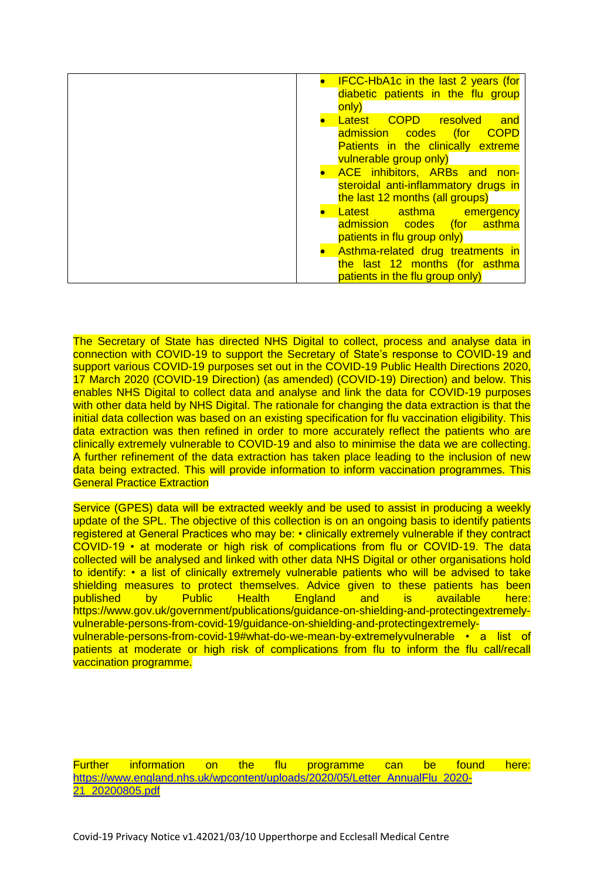| <b>IFCC-HbA1c in the last 2 years (for</b><br>diabetic patients in the flu group<br>only)                                                          |
|----------------------------------------------------------------------------------------------------------------------------------------------------|
| Latest COPD resolved<br>and<br><u>for</u><br><b>COPD</b><br>admission codes<br><b>Patients in the clinically extreme</b><br>vulnerable group only) |
| <b>ACE</b> inhibitors, ARBs and non-<br>steroidal anti-inflammatory drugs in<br>the last 12 months (all groups)                                    |
| Latest asthma emergency<br>admission codes (for asthma<br>patients in flu group only)                                                              |
| Asthma-related drug treatments in<br>the last 12 months (for asthma<br>patients in the flu group only)                                             |

The Secretary of State has directed NHS Digital to collect, process and analyse data in connection with COVID-19 to support the Secretary of State's response to COVID-19 and support various COVID-19 purposes set out in the COVID-19 Public Health Directions 2020, 17 March 2020 (COVID-19 Direction) (as amended) (COVID-19) Direction) and below. This enables NHS Digital to collect data and analyse and link the data for COVID-19 purposes with other data held by NHS Digital. The rationale for changing the data extraction is that the initial data collection was based on an existing specification for flu vaccination eligibility. This data extraction was then refined in order to more accurately reflect the patients who are clinically extremely vulnerable to COVID-19 and also to minimise the data we are collecting. A further refinement of the data extraction has taken place leading to the inclusion of new data being extracted. This will provide information to inform vaccination programmes. This General Practice Extraction

Service (GPES) data will be extracted weekly and be used to assist in producing a weekly update of the SPL. The objective of this collection is on an ongoing basis to identify patients registered at General Practices who may be: • clinically extremely vulnerable if they contract COVID-19 • at moderate or high risk of complications from flu or COVID-19. The data collected will be analysed and linked with other data NHS Digital or other organisations hold to identify: • a list of clinically extremely vulnerable patients who will be advised to take shielding measures to protect themselves. Advice given to these patients has been published by Public Health England and is available here: https://www.gov.uk/government/publications/guidance-on-shielding-and-protectingextremelyvulnerable-persons-from-covid-19/guidance-on-shielding-and-protectingextremelyvulnerable-persons-from-covid-19#what-do-we-mean-by-extremelyvulnerable • a list of patients at moderate or high risk of complications from flu to inform the flu call/recall vaccination programme.

Further information on the flu programme can be found here: [https://www.england.nhs.uk/wpcontent/uploads/2020/05/Letter\\_AnnualFlu\\_2020-](https://www.england.nhs.uk/wpcontent/uploads/2020/05/Letter_AnnualFlu_2020-21_20200805.pdf) [21\\_20200805.pdf](https://www.england.nhs.uk/wpcontent/uploads/2020/05/Letter_AnnualFlu_2020-21_20200805.pdf)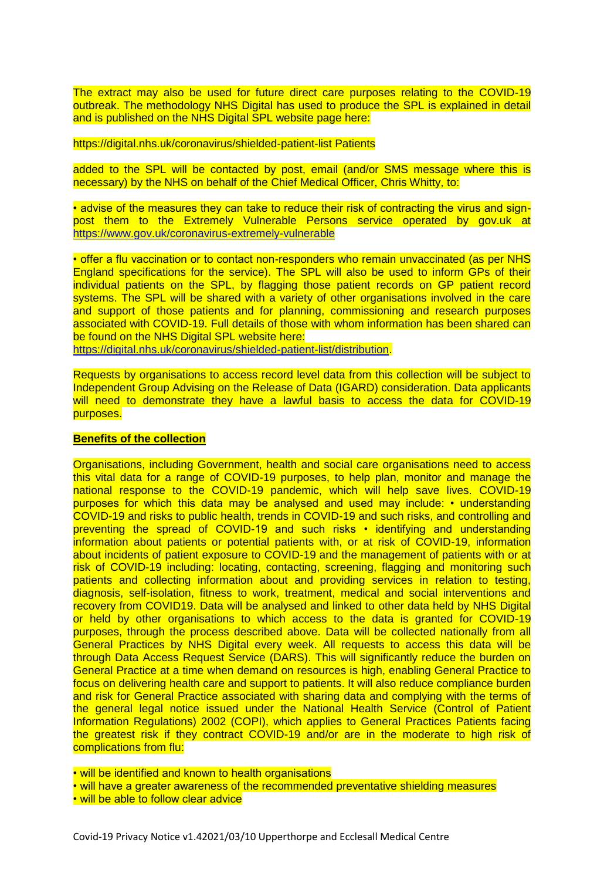The extract may also be used for future direct care purposes relating to the COVID-19 outbreak. The methodology NHS Digital has used to produce the SPL is explained in detail and is published on the NHS Digital SPL website page here:

#### https://digital.nhs.uk/coronavirus/shielded-patient-list Patients

added to the SPL will be contacted by post, email (and/or SMS message where this is necessary) by the NHS on behalf of the Chief Medical Officer, Chris Whitty, to:

• advise of the measures they can take to reduce their risk of contracting the virus and signpost them to the Extremely Vulnerable Persons service operated by gov.uk at <https://www.gov.uk/coronavirus-extremely-vulnerable>

• offer a flu vaccination or to contact non-responders who remain unvaccinated (as per NHS England specifications for the service). The SPL will also be used to inform GPs of their individual patients on the SPL, by flagging those patient records on GP patient record systems. The SPL will be shared with a variety of other organisations involved in the care and support of those patients and for planning, commissioning and research purposes associated with COVID-19. Full details of those with whom information has been shared can be found on the NHS Digital SPL website here:

[https://digital.nhs.uk/coronavirus/shielded-patient-list/distribution.](https://digital.nhs.uk/coronavirus/shielded-patient-list/distribution)

Requests by organisations to access record level data from this collection will be subject to Independent Group Advising on the Release of Data (IGARD) consideration. Data applicants will need to demonstrate they have a lawful basis to access the data for COVID-19 purposes.

#### **Benefits of the collection**

Organisations, including Government, health and social care organisations need to access this vital data for a range of COVID-19 purposes, to help plan, monitor and manage the national response to the COVID-19 pandemic, which will help save lives. COVID-19 purposes for which this data may be analysed and used may include: • understanding COVID-19 and risks to public health, trends in COVID-19 and such risks, and controlling and preventing the spread of COVID-19 and such risks • identifying and understanding information about patients or potential patients with, or at risk of COVID-19, information about incidents of patient exposure to COVID-19 and the management of patients with or at risk of COVID-19 including: locating, contacting, screening, flagging and monitoring such patients and collecting information about and providing services in relation to testing, diagnosis, self-isolation, fitness to work, treatment, medical and social interventions and recovery from COVID19. Data will be analysed and linked to other data held by NHS Digital or held by other organisations to which access to the data is granted for COVID-19 purposes, through the process described above. Data will be collected nationally from all General Practices by NHS Digital every week. All requests to access this data will be through Data Access Request Service (DARS). This will significantly reduce the burden on General Practice at a time when demand on resources is high, enabling General Practice to focus on delivering health care and support to patients. It will also reduce compliance burden and risk for General Practice associated with sharing data and complying with the terms of the general legal notice issued under the National Health Service (Control of Patient Information Regulations) 2002 (COPI), which applies to General Practices Patients facing the greatest risk if they contract COVID-19 and/or are in the moderate to high risk of complications from flu:

• will be identified and known to health organisations

• will have a greater awareness of the recommended preventative shielding measures

• will be able to follow clear advice